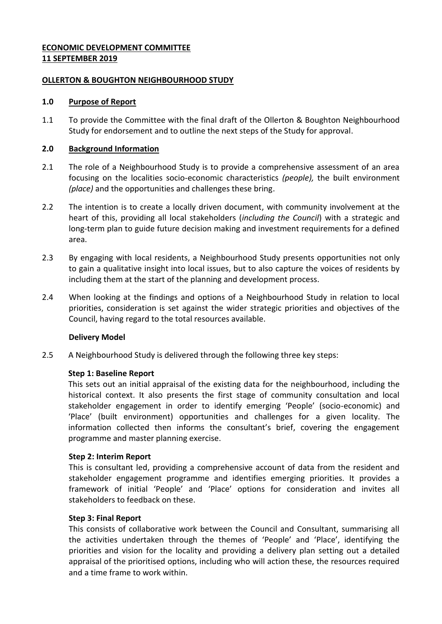### **ECONOMIC DEVELOPMENT COMMITTEE 11 SEPTEMBER 2019**

### **OLLERTON & BOUGHTON NEIGHBOURHOOD STUDY**

### **1.0 Purpose of Report**

1.1 To provide the Committee with the final draft of the Ollerton & Boughton Neighbourhood Study for endorsement and to outline the next steps of the Study for approval.

# **2.0 Background Information**

- 2.1 The role of a Neighbourhood Study is to provide a comprehensive assessment of an area focusing on the localities socio-economic characteristics *(people),* the built environment *(place)* and the opportunities and challenges these bring.
- 2.2 The intention is to create a locally driven document, with community involvement at the heart of this, providing all local stakeholders (*including the Council*) with a strategic and long-term plan to guide future decision making and investment requirements for a defined area.
- 2.3 By engaging with local residents, a Neighbourhood Study presents opportunities not only to gain a qualitative insight into local issues, but to also capture the voices of residents by including them at the start of the planning and development process.
- 2.4 When looking at the findings and options of a Neighbourhood Study in relation to local priorities, consideration is set against the wider strategic priorities and objectives of the Council, having regard to the total resources available.

# **Delivery Model**

2.5 A Neighbourhood Study is delivered through the following three key steps:

### **Step 1: Baseline Report**

This sets out an initial appraisal of the existing data for the neighbourhood, including the historical context. It also presents the first stage of community consultation and local stakeholder engagement in order to identify emerging 'People' (socio-economic) and 'Place' (built environment) opportunities and challenges for a given locality. The information collected then informs the consultant's brief, covering the engagement programme and master planning exercise.

### **Step 2: Interim Report**

This is consultant led, providing a comprehensive account of data from the resident and stakeholder engagement programme and identifies emerging priorities. It provides a framework of initial 'People' and 'Place' options for consideration and invites all stakeholders to feedback on these.

### **Step 3: Final Report**

This consists of collaborative work between the Council and Consultant, summarising all the activities undertaken through the themes of 'People' and 'Place', identifying the priorities and vision for the locality and providing a delivery plan setting out a detailed appraisal of the prioritised options, including who will action these, the resources required and a time frame to work within.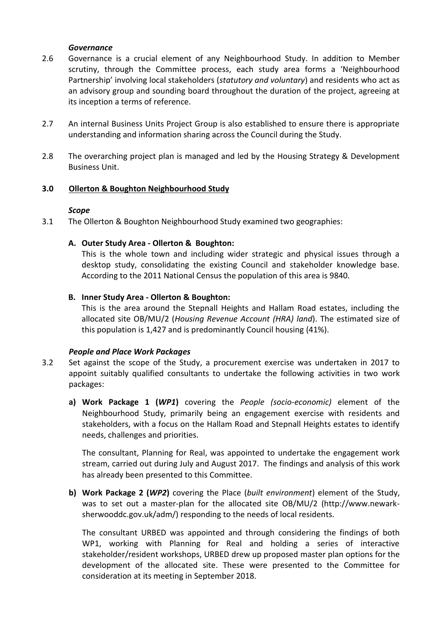#### *Governance*

- 2.6 Governance is a crucial element of any Neighbourhood Study. In addition to Member scrutiny, through the Committee process, each study area forms a 'Neighbourhood Partnership' involving local stakeholders (*statutory and voluntary*) and residents who act as an advisory group and sounding board throughout the duration of the project, agreeing at its inception a terms of reference.
- 2.7 An internal Business Units Project Group is also established to ensure there is appropriate understanding and information sharing across the Council during the Study.
- 2.8 The overarching project plan is managed and led by the Housing Strategy & Development Business Unit.

### **3.0 Ollerton & Boughton Neighbourhood Study**

### *Scope*

3.1 The Ollerton & Boughton Neighbourhood Study examined two geographies:

### **A. Outer Study Area - Ollerton & Boughton:**

This is the whole town and including wider strategic and physical issues through a desktop study, consolidating the existing Council and stakeholder knowledge base. According to the 2011 National Census the population of this area is 9840.

### **B. Inner Study Area - Ollerton & Boughton:**

This is the area around the Stepnall Heights and Hallam Road estates, including the allocated site OB/MU/2 (*Housing Revenue Account (HRA) land*). The estimated size of this population is 1,427 and is predominantly Council housing (41%).

### *People and Place Work Packages*

- 3.2 Set against the scope of the Study, a procurement exercise was undertaken in 2017 to appoint suitably qualified consultants to undertake the following activities in two work packages:
	- **a) Work Package 1 (***WP1***)** covering the *People (socio-economic)* element of the Neighbourhood Study, primarily being an engagement exercise with residents and stakeholders, with a focus on the Hallam Road and Stepnall Heights estates to identify needs, challenges and priorities.

The consultant, Planning for Real, was appointed to undertake the engagement work stream, carried out during July and August 2017. The findings and analysis of this work has already been presented to this Committee.

**b) Work Package 2 (***WP2***)** covering the Place (*built environment*) element of the Study, was to set out a master-plan for the allocated site OB/MU/2 (http://www.newarksherwooddc.gov.uk/adm/) responding to the needs of local residents.

The consultant URBED was appointed and through considering the findings of both WP1, working with Planning for Real and holding a series of interactive stakeholder/resident workshops, URBED drew up proposed master plan options for the development of the allocated site. These were presented to the Committee for consideration at its meeting in September 2018.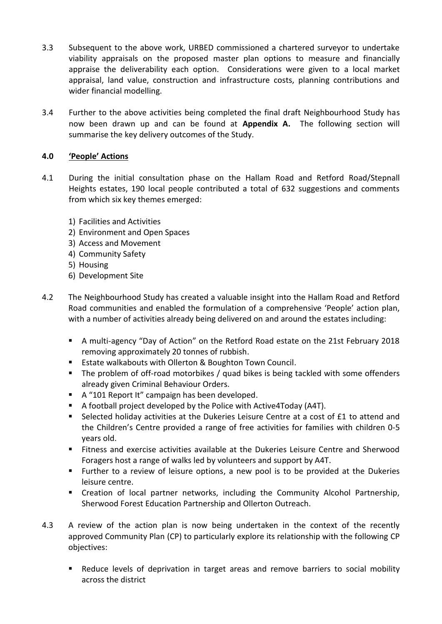- 3.3 Subsequent to the above work, URBED commissioned a chartered surveyor to undertake viability appraisals on the proposed master plan options to measure and financially appraise the deliverability each option. Considerations were given to a local market appraisal, land value, construction and infrastructure costs, planning contributions and wider financial modelling.
- 3.4 Further to the above activities being completed the final draft Neighbourhood Study has now been drawn up and can be found at **Appendix A.** The following section will summarise the key delivery outcomes of the Study.

# **4.0 'People' Actions**

- 4.1 During the initial consultation phase on the Hallam Road and Retford Road/Stepnall Heights estates, 190 local people contributed a total of 632 suggestions and comments from which six key themes emerged:
	- 1) Facilities and Activities
	- 2) Environment and Open Spaces
	- 3) Access and Movement
	- 4) Community Safety
	- 5) Housing
	- 6) Development Site
- 4.2 The Neighbourhood Study has created a valuable insight into the Hallam Road and Retford Road communities and enabled the formulation of a comprehensive 'People' action plan, with a number of activities already being delivered on and around the estates including:
	- A multi-agency "Day of Action" on the Retford Road estate on the 21st February 2018 removing approximately 20 tonnes of rubbish.
	- Estate walkabouts with Ollerton & Boughton Town Council.
	- The problem of off-road motorbikes / quad bikes is being tackled with some offenders already given Criminal Behaviour Orders.
	- A "101 Report It" campaign has been developed.
	- A football project developed by the Police with Active4Today (A4T).
	- Selected holiday activities at the Dukeries Leisure Centre at a cost of £1 to attend and the Children's Centre provided a range of free activities for families with children 0-5 years old.
	- Fitness and exercise activities available at the Dukeries Leisure Centre and Sherwood Foragers host a range of walks led by volunteers and support by A4T.
	- Further to a review of leisure options, a new pool is to be provided at the Dukeries leisure centre.
	- **EXP** Creation of local partner networks, including the Community Alcohol Partnership, Sherwood Forest Education Partnership and Ollerton Outreach.
- 4.3 A review of the action plan is now being undertaken in the context of the recently approved Community Plan (CP) to particularly explore its relationship with the following CP objectives:
	- Reduce levels of deprivation in target areas and remove barriers to social mobility across the district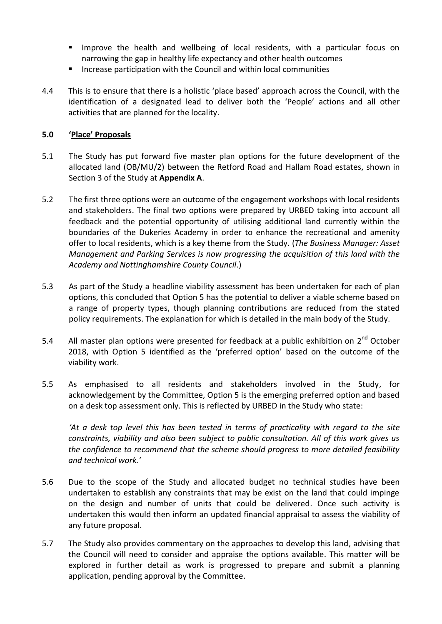- Improve the health and wellbeing of local residents, with a particular focus on narrowing the gap in healthy life expectancy and other health outcomes
- **Increase participation with the Council and within local communities**
- 4.4 This is to ensure that there is a holistic 'place based' approach across the Council, with the identification of a designated lead to deliver both the 'People' actions and all other activities that are planned for the locality.

# **5.0 'Place' Proposals**

- 5.1 The Study has put forward five master plan options for the future development of the allocated land (OB/MU/2) between the Retford Road and Hallam Road estates, shown in Section 3 of the Study at **Appendix A**.
- 5.2 The first three options were an outcome of the engagement workshops with local residents and stakeholders. The final two options were prepared by URBED taking into account all feedback and the potential opportunity of utilising additional land currently within the boundaries of the Dukeries Academy in order to enhance the recreational and amenity offer to local residents, which is a key theme from the Study. (*The Business Manager: Asset Management and Parking Services is now progressing the acquisition of this land with the Academy and Nottinghamshire County Council*.)
- 5.3 As part of the Study a headline viability assessment has been undertaken for each of plan options, this concluded that Option 5 has the potential to deliver a viable scheme based on a range of property types, though planning contributions are reduced from the stated policy requirements. The explanation for which is detailed in the main body of the Study.
- 5.4 All master plan options were presented for feedback at a public exhibition on  $2^{nd}$  October 2018, with Option 5 identified as the 'preferred option' based on the outcome of the viability work.
- 5.5 As emphasised to all residents and stakeholders involved in the Study, for acknowledgement by the Committee, Option 5 is the emerging preferred option and based on a desk top assessment only. This is reflected by URBED in the Study who state:

*'At a desk top level this has been tested in terms of practicality with regard to the site constraints, viability and also been subject to public consultation. All of this work gives us the confidence to recommend that the scheme should progress to more detailed feasibility and technical work.'*

- 5.6 Due to the scope of the Study and allocated budget no technical studies have been undertaken to establish any constraints that may be exist on the land that could impinge on the design and number of units that could be delivered. Once such activity is undertaken this would then inform an updated financial appraisal to assess the viability of any future proposal.
- 5.7 The Study also provides commentary on the approaches to develop this land, advising that the Council will need to consider and appraise the options available. This matter will be explored in further detail as work is progressed to prepare and submit a planning application, pending approval by the Committee.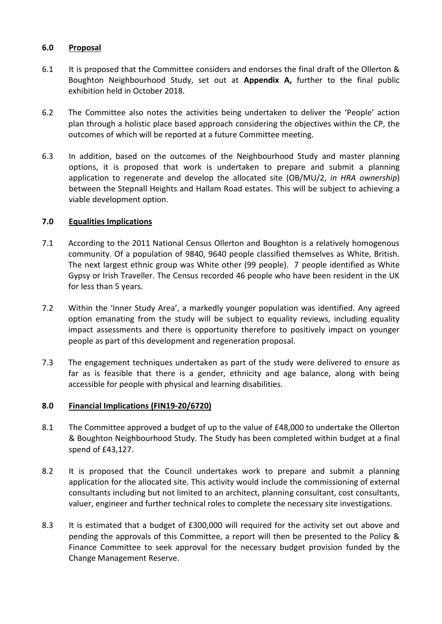# **6.0 Proposal**

- 6.1 It is proposed that the Committee considers and endorses the final draft of the Ollerton & Boughton Neighbourhood Study, set out at **Appendix A,** further to the final public exhibition held in October 2018.
- 6.2 The Committee also notes the activities being undertaken to deliver the 'People' action plan through a holistic place based approach considering the objectives within the CP, the outcomes of which will be reported at a future Committee meeting.
- 6.3 In addition, based on the outcomes of the Neighbourhood Study and master planning options, it is proposed that work is undertaken to prepare and submit a planning application to regenerate and develop the allocated site (OB/MU/2, *in HRA ownership*) between the Stepnall Heights and Hallam Road estates. This will be subject to achieving a viable development option.

# **7.0 Equalities Implications**

- 7.1 According to the 2011 National Census Ollerton and Boughton is a relatively homogenous community. Of a population of 9840, 9640 people classified themselves as White, British. The next largest ethnic group was White other (99 people). 7 people identified as White Gypsy or Irish Traveller. The Census recorded 46 people who have been resident in the UK for less than 5 years.
- 7.2 Within the 'Inner Study Area', a markedly younger population was identified. Any agreed option emanating from the study will be subject to equality reviews, including equality impact assessments and there is opportunity therefore to positively impact on younger people as part of this development and regeneration proposal.
- 7.3 The engagement techniques undertaken as part of the study were delivered to ensure as far as is feasible that there is a gender, ethnicity and age balance, along with being accessible for people with physical and learning disabilities.

### **8.0 Financial Implications (FIN19-20/6720)**

- 8.1 The Committee approved a budget of up to the value of £48,000 to undertake the Ollerton & Boughton Neighbourhood Study. The Study has been completed within budget at a final spend of £43,127.
- 8.2 It is proposed that the Council undertakes work to prepare and submit a planning application for the allocated site. This activity would include the commissioning of external consultants including but not limited to an architect, planning consultant, cost consultants, valuer, engineer and further technical roles to complete the necessary site investigations.
- 8.3 It is estimated that a budget of £300,000 will required for the activity set out above and pending the approvals of this Committee, a report will then be presented to the Policy & Finance Committee to seek approval for the necessary budget provision funded by the Change Management Reserve.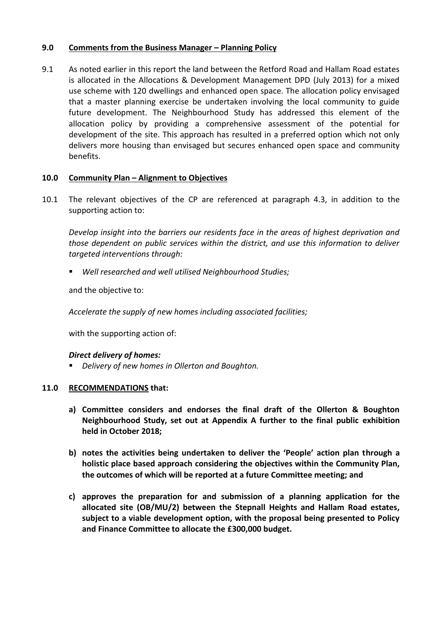# **9.0 Comments from the Business Manager – Planning Policy**

9.1 As noted earlier in this report the land between the Retford Road and Hallam Road estates is allocated in the Allocations & Development Management DPD (July 2013) for a mixed use scheme with 120 dwellings and enhanced open space. The allocation policy envisaged that a master planning exercise be undertaken involving the local community to guide future development. The Neighbourhood Study has addressed this element of the allocation policy by providing a comprehensive assessment of the potential for development of the site. This approach has resulted in a preferred option which not only delivers more housing than envisaged but secures enhanced open space and community benefits.

# **10.0 Community Plan – Alignment to Objectives**

10.1 The relevant objectives of the CP are referenced at paragraph 4.3, in addition to the supporting action to:

*Develop insight into the barriers our residents face in the areas of highest deprivation and those dependent on public services within the district, and use this information to deliver targeted interventions through:* 

*Well researched and well utilised Neighbourhood Studies;* 

and the objective to:

*Accelerate the supply of new homes including associated facilities;*

with the supporting action of:

### *Direct delivery of homes:*

*Delivery of new homes in Ollerton and Boughton.* 

### **11.0 RECOMMENDATIONS that:**

- **a) Committee considers and endorses the final draft of the Ollerton & Boughton Neighbourhood Study, set out at Appendix A further to the final public exhibition held in October 2018;**
- **b) notes the activities being undertaken to deliver the 'People' action plan through a holistic place based approach considering the objectives within the Community Plan, the outcomes of which will be reported at a future Committee meeting; and**
- **c) approves the preparation for and submission of a planning application for the allocated site (OB/MU/2) between the Stepnall Heights and Hallam Road estates, subject to a viable development option, with the proposal being presented to Policy and Finance Committee to allocate the £300,000 budget.**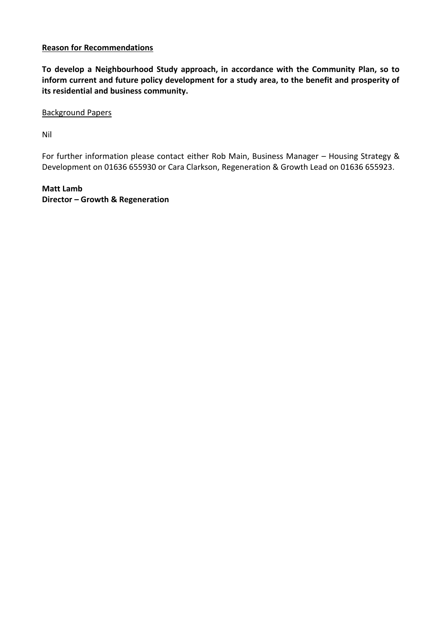# **Reason for Recommendations**

**To develop a Neighbourhood Study approach, in accordance with the Community Plan, so to inform current and future policy development for a study area, to the benefit and prosperity of its residential and business community.**

Background Papers

Nil

For further information please contact either Rob Main, Business Manager – Housing Strategy & Development on 01636 655930 or Cara Clarkson, Regeneration & Growth Lead on 01636 655923.

**Matt Lamb Director – Growth & Regeneration**